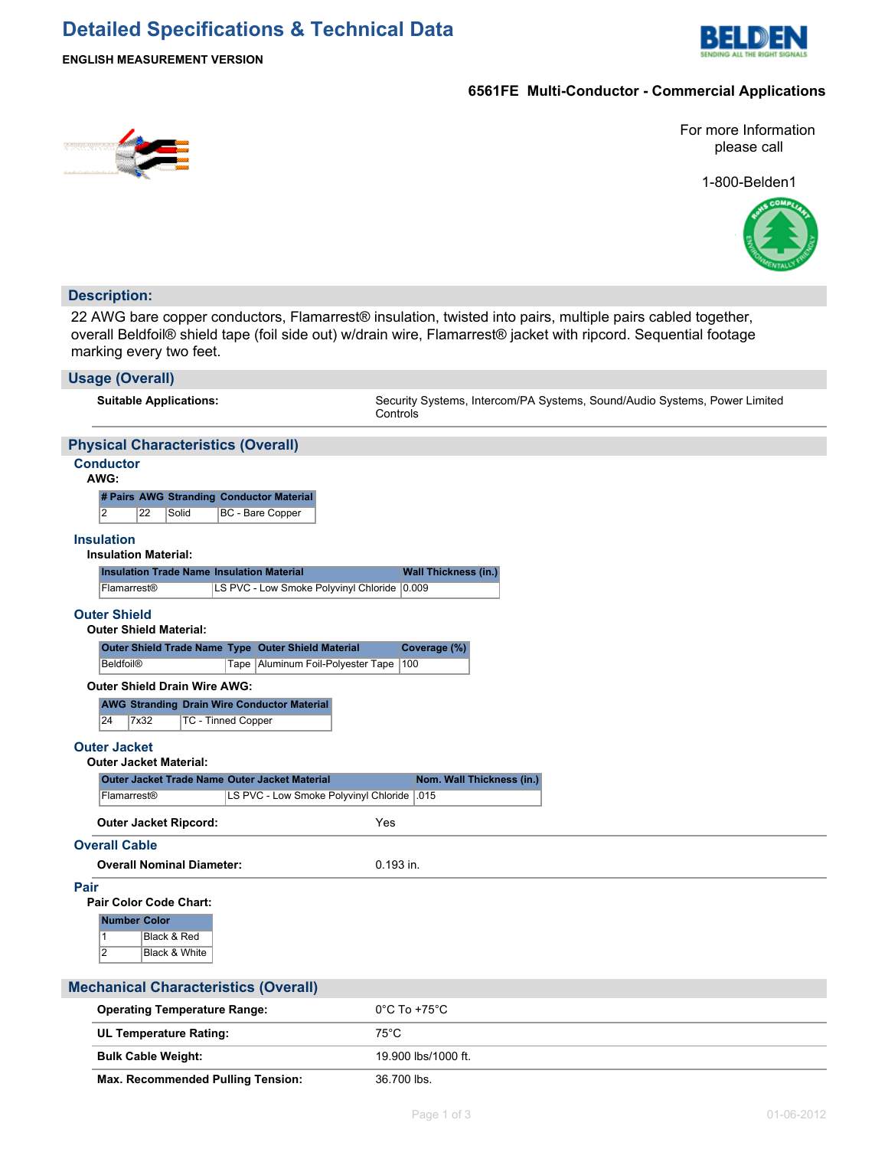## **Detailed Specifications & Technical Data**



### **ENGLISH MEASUREMENT VERSION**

### **6561FE Multi-Conductor - Commercial Applications**



1-800-Belden1



### **Description:**

22 AWG bare copper conductors, Flamarrest® insulation, twisted into pairs, multiple pairs cabled together, overall Beldfoil® shield tape (foil side out) w/drain wire, Flamarrest® jacket with ripcord. Sequential footage marking every two feet.

| <b>Usage (Overall)</b>                                                                 |                                                                                       |
|----------------------------------------------------------------------------------------|---------------------------------------------------------------------------------------|
| <b>Suitable Applications:</b>                                                          | Security Systems, Intercom/PA Systems, Sound/Audio Systems, Power Limited<br>Controls |
| <b>Physical Characteristics (Overall)</b>                                              |                                                                                       |
| <b>Conductor</b><br>AWG:                                                               |                                                                                       |
| # Pairs AWG Stranding Conductor Material                                               |                                                                                       |
| $\overline{2}$<br>22<br>Solid<br><b>BC</b> - Bare Copper                               |                                                                                       |
| <b>Insulation</b><br><b>Insulation Material:</b>                                       |                                                                                       |
| <b>Insulation Trade Name Insulation Material</b>                                       | <b>Wall Thickness (in.)</b>                                                           |
| LS PVC - Low Smoke Polyvinyl Chloride 0.009<br>Flamarrest <sup>®</sup>                 |                                                                                       |
| <b>Outer Shield</b><br><b>Outer Shield Material:</b>                                   |                                                                                       |
| Outer Shield Trade Name Type Outer Shield Material                                     | Coverage (%)                                                                          |
| <b>Beldfoil®</b><br>Tape   Aluminum Foil-Polyester Tape                                | 100                                                                                   |
| <b>Outer Shield Drain Wire AWG:</b>                                                    |                                                                                       |
| <b>AWG Stranding Drain Wire Conductor Material</b><br>24<br>7x32<br>TC - Tinned Copper |                                                                                       |
| <b>Outer Jacket</b><br><b>Outer Jacket Material:</b>                                   |                                                                                       |
| <b>Outer Jacket Trade Name Outer Jacket Material</b>                                   | Nom. Wall Thickness (in.)                                                             |
| LS PVC - Low Smoke Polyvinyl Chloride<br>Flamarrest®                                   | .015                                                                                  |
| <b>Outer Jacket Ripcord:</b>                                                           | Yes                                                                                   |
| <b>Overall Cable</b>                                                                   |                                                                                       |
| <b>Overall Nominal Diameter:</b>                                                       | 0.193 in.                                                                             |
| Pair<br><b>Pair Color Code Chart:</b>                                                  |                                                                                       |
| <b>Number Color</b><br>$\mathbf{1}$<br>Black & Red                                     |                                                                                       |
| 2<br>Black & White                                                                     |                                                                                       |
|                                                                                        |                                                                                       |
| <b>Mechanical Characteristics (Overall)</b>                                            |                                                                                       |
| <b>Operating Temperature Range:</b>                                                    | $0^{\circ}$ C To +75 $^{\circ}$ C                                                     |
| UL Temperature Rating:                                                                 | $75^{\circ}$ C                                                                        |
| <b>Bulk Cable Weight:</b>                                                              | 19.900 lbs/1000 ft.                                                                   |

Max. Recommended Pulling Tension: 36.700 lbs.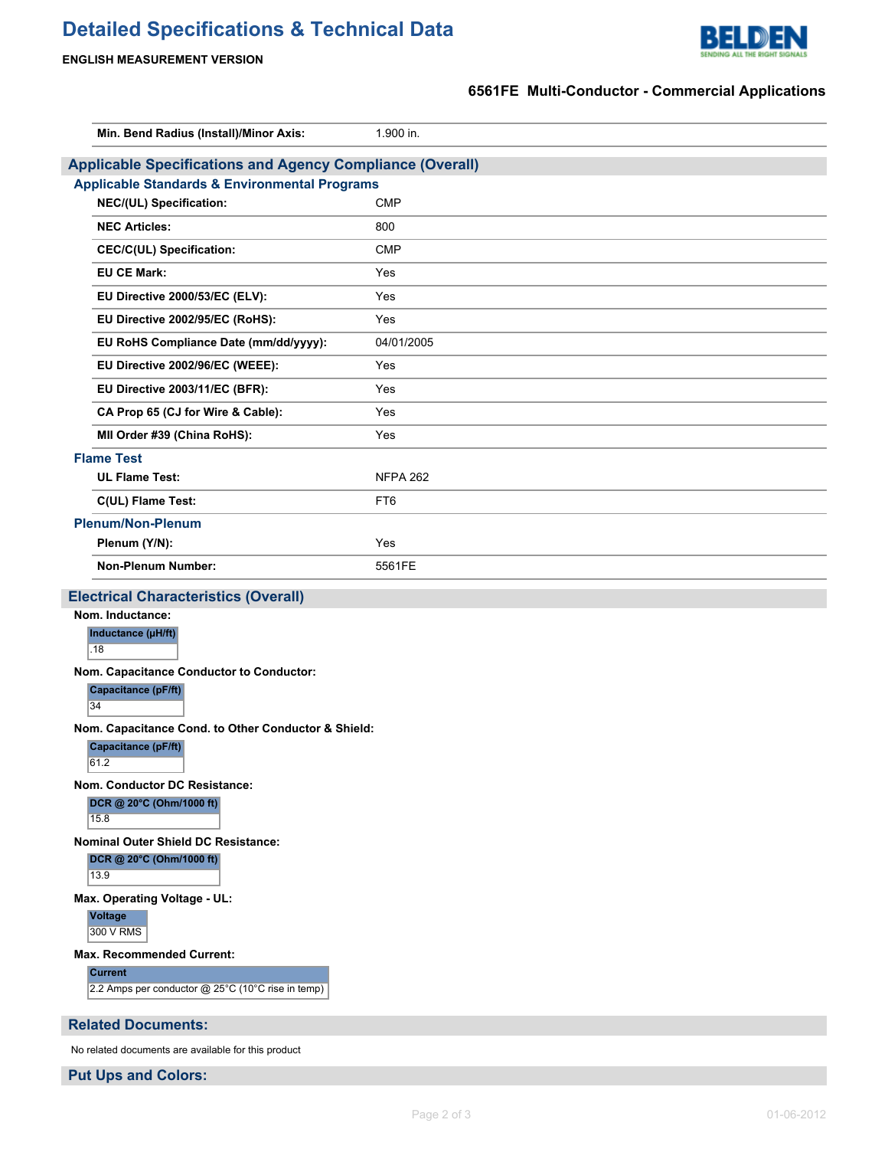# **Detailed Specifications & Technical Data**



**ENGLISH MEASUREMENT VERSION**

### **6561FE Multi-Conductor - Commercial Applications**

| Min. Bend Radius (Install)/Minor Axis:                                 | 1.900 in.       |  |  |  |
|------------------------------------------------------------------------|-----------------|--|--|--|
| <b>Applicable Specifications and Agency Compliance (Overall)</b>       |                 |  |  |  |
| <b>Applicable Standards &amp; Environmental Programs</b>               |                 |  |  |  |
| NEC/(UL) Specification:                                                | <b>CMP</b>      |  |  |  |
| <b>NEC Articles:</b>                                                   | 800             |  |  |  |
| CEC/C(UL) Specification:                                               | <b>CMP</b>      |  |  |  |
| <b>EU CE Mark:</b>                                                     | Yes             |  |  |  |
| EU Directive 2000/53/EC (ELV):                                         | Yes             |  |  |  |
| EU Directive 2002/95/EC (RoHS):                                        | Yes             |  |  |  |
| EU RoHS Compliance Date (mm/dd/yyyy):                                  | 04/01/2005      |  |  |  |
| EU Directive 2002/96/EC (WEEE):                                        | Yes             |  |  |  |
| EU Directive 2003/11/EC (BFR):                                         | Yes             |  |  |  |
| CA Prop 65 (CJ for Wire & Cable):                                      | Yes             |  |  |  |
| MII Order #39 (China RoHS):                                            | Yes             |  |  |  |
| <b>Flame Test</b>                                                      |                 |  |  |  |
| <b>UL Flame Test:</b>                                                  | <b>NFPA 262</b> |  |  |  |
| C(UL) Flame Test:                                                      | FT <sub>6</sub> |  |  |  |
| <b>Plenum/Non-Plenum</b>                                               |                 |  |  |  |
| Plenum (Y/N):                                                          | Yes             |  |  |  |
| <b>Non-Plenum Number:</b>                                              | 5561FE          |  |  |  |
| <b>Electrical Characteristics (Overall)</b>                            |                 |  |  |  |
| Nom. Inductance:                                                       |                 |  |  |  |
| Inductance (µH/ft)<br>.18                                              |                 |  |  |  |
| Nom. Capacitance Conductor to Conductor:                               |                 |  |  |  |
| <b>Capacitance (pF/ft)</b>                                             |                 |  |  |  |
| 34                                                                     |                 |  |  |  |
| Nom. Capacitance Cond. to Other Conductor & Shield:                    |                 |  |  |  |
| Capacitance (pF/ft)<br>61.2                                            |                 |  |  |  |
| Nom. Conductor DC Resistance:                                          |                 |  |  |  |
| DCR @ 20°C (Ohm/1000 ft)                                               |                 |  |  |  |
| 15.8                                                                   |                 |  |  |  |
| <b>Nominal Outer Shield DC Resistance:</b><br>DCR @ 20°C (Ohm/1000 ft) |                 |  |  |  |
| $13.\overline{9}$                                                      |                 |  |  |  |
| Max. Operating Voltage - UL:                                           |                 |  |  |  |
| <b>Voltage</b><br>300 V RMS                                            |                 |  |  |  |
| <b>Max. Recommended Current:</b>                                       |                 |  |  |  |
| <b>Current</b><br>2.2 Amps per conductor @ 25°C (10°C rise in temp)    |                 |  |  |  |
| <b>Related Documents:</b>                                              |                 |  |  |  |
| No related documents are available for this product                    |                 |  |  |  |

**Put Ups and Colors:**